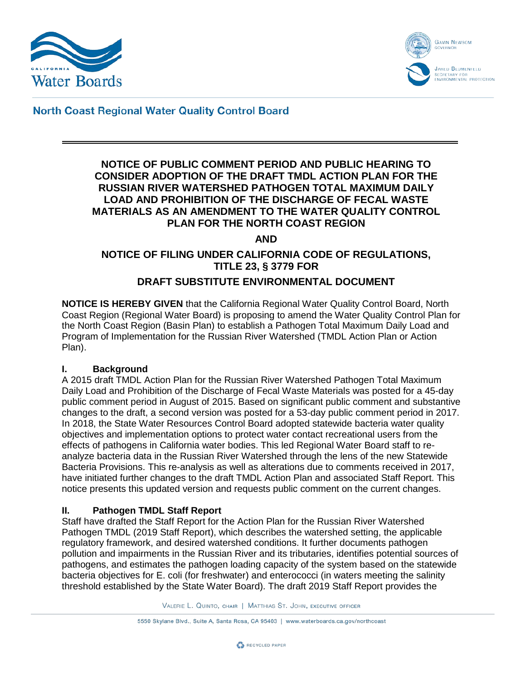



**North Coast Regional Water Quality Control Board** 

#### **NOTICE OF PUBLIC COMMENT PERIOD AND PUBLIC HEARING TO CONSIDER ADOPTION OF THE DRAFT TMDL ACTION PLAN FOR THE RUSSIAN RIVER WATERSHED PATHOGEN TOTAL MAXIMUM DAILY LOAD AND PROHIBITION OF THE DISCHARGE OF FECAL WASTE MATERIALS AS AN AMENDMENT TO THE WATER QUALITY CONTROL PLAN FOR THE NORTH COAST REGION**

#### **AND**

# **NOTICE OF FILING UNDER CALIFORNIA CODE OF REGULATIONS, TITLE 23, § 3779 FOR**

## **DRAFT SUBSTITUTE ENVIRONMENTAL DOCUMENT**

**NOTICE IS HEREBY GIVEN** that the California Regional Water Quality Control Board, North Coast Region (Regional Water Board) is proposing to amend the Water Quality Control Plan for the North Coast Region (Basin Plan) to establish a Pathogen Total Maximum Daily Load and Program of Implementation for the Russian River Watershed (TMDL Action Plan or Action Plan).

#### **I. Background**

A 2015 draft TMDL Action Plan for the Russian River Watershed Pathogen Total Maximum Daily Load and Prohibition of the Discharge of Fecal Waste Materials was posted for a 45-day public comment period in August of 2015. Based on significant public comment and substantive changes to the draft, a second version was posted for a 53-day public comment period in 2017. In 2018, the State Water Resources Control Board adopted statewide bacteria water quality objectives and implementation options to protect water contact recreational users from the effects of pathogens in California water bodies. This led Regional Water Board staff to reanalyze bacteria data in the Russian River Watershed through the lens of the new Statewide Bacteria Provisions. This re-analysis as well as alterations due to comments received in 2017, have initiated further changes to the draft TMDL Action Plan and associated Staff Report. This notice presents this updated version and requests public comment on the current changes.

#### **II. Pathogen TMDL Staff Report**

Staff have drafted the Staff Report for the Action Plan for the Russian River Watershed Pathogen TMDL (2019 Staff Report), which describes the watershed setting, the applicable regulatory framework, and desired watershed conditions. It further documents pathogen pollution and impairments in the Russian River and its tributaries, identifies potential sources of pathogens, and estimates the pathogen loading capacity of the system based on the statewide bacteria objectives for E. coli (for freshwater) and enterococci (in waters meeting the salinity threshold established by the State Water Board). The draft 2019 Staff Report provides the

VALERIE L. QUINTO, CHAIR | MATTHIAS ST. JOHN, EXECUTIVE OFFICER

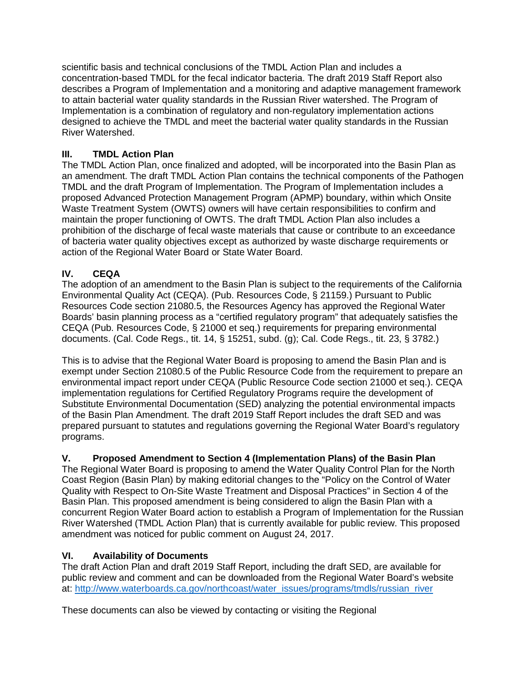scientific basis and technical conclusions of the TMDL Action Plan and includes a concentration-based TMDL for the fecal indicator bacteria. The draft 2019 Staff Report also describes a Program of Implementation and a monitoring and adaptive management framework to attain bacterial water quality standards in the Russian River watershed. The Program of Implementation is a combination of regulatory and non-regulatory implementation actions designed to achieve the TMDL and meet the bacterial water quality standards in the Russian River Watershed.

### **III. TMDL Action Plan**

The TMDL Action Plan, once finalized and adopted, will be incorporated into the Basin Plan as an amendment. The draft TMDL Action Plan contains the technical components of the Pathogen TMDL and the draft Program of Implementation. The Program of Implementation includes a proposed Advanced Protection Management Program (APMP) boundary, within which Onsite Waste Treatment System (OWTS) owners will have certain responsibilities to confirm and maintain the proper functioning of OWTS. The draft TMDL Action Plan also includes a prohibition of the discharge of fecal waste materials that cause or contribute to an exceedance of bacteria water quality objectives except as authorized by waste discharge requirements or action of the Regional Water Board or State Water Board.

## **IV. CEQA**

The adoption of an amendment to the Basin Plan is subject to the requirements of the California Environmental Quality Act (CEQA). (Pub. Resources Code, § 21159.) Pursuant to Public Resources Code section 21080.5, the Resources Agency has approved the Regional Water Boards' basin planning process as a "certified regulatory program" that adequately satisfies the CEQA (Pub. Resources Code, § 21000 et seq.) requirements for preparing environmental documents. (Cal. Code Regs., tit. 14, § 15251, subd. (g); Cal. Code Regs., tit. 23, § 3782.)

This is to advise that the Regional Water Board is proposing to amend the Basin Plan and is exempt under Section 21080.5 of the Public Resource Code from the requirement to prepare an environmental impact report under CEQA (Public Resource Code section 21000 et seq.). CEQA implementation regulations for Certified Regulatory Programs require the development of Substitute Environmental Documentation (SED) analyzing the potential environmental impacts of the Basin Plan Amendment. The draft 2019 Staff Report includes the draft SED and was prepared pursuant to statutes and regulations governing the Regional Water Board's regulatory programs.

## **V. Proposed Amendment to Section 4 (Implementation Plans) of the Basin Plan**

The Regional Water Board is proposing to amend the Water Quality Control Plan for the North Coast Region (Basin Plan) by making editorial changes to the "Policy on the Control of Water Quality with Respect to On-Site Waste Treatment and Disposal Practices" in Section 4 of the Basin Plan. This proposed amendment is being considered to align the Basin Plan with a concurrent Region Water Board action to establish a Program of Implementation for the Russian River Watershed (TMDL Action Plan) that is currently available for public review. This proposed amendment was noticed for public comment on August 24, 2017.

#### **VI. Availability of Documents**

The draft Action Plan and draft 2019 Staff Report, including the draft SED, are available for public review and comment and can be downloaded from the Regional Water Board's website at: [http://www.waterboards.ca.gov/northcoast/water\\_issues/programs/tmdls/russian\\_river](http://www.waterboards.ca.gov/northcoast/water_issues/programs/tmdls/russian_river)

These documents can also be viewed by contacting or visiting the Regional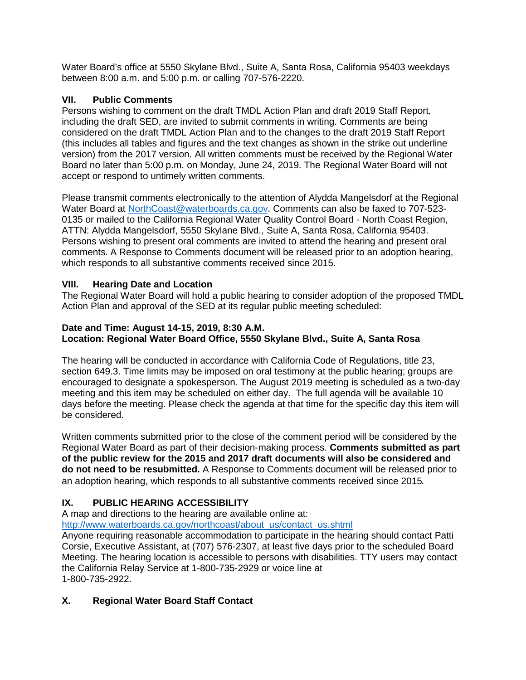Water Board's office at 5550 Skylane Blvd., Suite A, Santa Rosa, California 95403 weekdays between 8:00 a.m. and 5:00 p.m. or calling 707-576-2220.

### **VII. Public Comments**

Persons wishing to comment on the draft TMDL Action Plan and draft 2019 Staff Report, including the draft SED, are invited to submit comments in writing. Comments are being considered on the draft TMDL Action Plan and to the changes to the draft 2019 Staff Report (this includes all tables and figures and the text changes as shown in the strike out underline version) from the 2017 version. All written comments must be received by the Regional Water Board no later than 5:00 p.m. on Monday, June 24, 2019. The Regional Water Board will not accept or respond to untimely written comments.

Please transmit comments electronically to the attention of Alydda Mangelsdorf at the Regional Water Board at [NorthCoast@waterboards.ca.gov.](mailto:NorthCoast@waterboards.ca.gov) Comments can also be faxed to 707-523- 0135 or mailed to the California Regional Water Quality Control Board - North Coast Region, ATTN: Alydda Mangelsdorf, 5550 Skylane Blvd., Suite A, Santa Rosa, California 95403. Persons wishing to present oral comments are invited to attend the hearing and present oral comments. A Response to Comments document will be released prior to an adoption hearing, which responds to all substantive comments received since 2015.

### **VIII. Hearing Date and Location**

The Regional Water Board will hold a public hearing to consider adoption of the proposed TMDL Action Plan and approval of the SED at its regular public meeting scheduled:

#### **Date and Time: August 14-15, 2019, 8:30 A.M. Location: Regional Water Board Office, 5550 Skylane Blvd., Suite A, Santa Rosa**

The hearing will be conducted in accordance with California Code of Regulations, title 23, section 649.3. Time limits may be imposed on oral testimony at the public hearing; groups are encouraged to designate a spokesperson. The August 2019 meeting is scheduled as a two-day meeting and this item may be scheduled on either day. The full agenda will be available 10 days before the meeting. Please check the agenda at that time for the specific day this item will be considered.

Written comments submitted prior to the close of the comment period will be considered by the Regional Water Board as part of their decision-making process. **Comments submitted as part of the public review for the 2015 and 2017 draft documents will also be considered and do not need to be resubmitted.** A Response to Comments document will be released prior to an adoption hearing, which responds to all substantive comments received since 2015.

## **IX. PUBLIC HEARING ACCESSIBILITY**

A map and directions to the hearing are available online at:

[http://www.waterboards.ca.gov/northcoast/about\\_us/contact\\_us.shtml](http://www.waterboards.ca.gov/northcoast/about_us/contact_us.shtml)

Anyone requiring reasonable accommodation to participate in the hearing should contact Patti Corsie, Executive Assistant, at (707) 576-2307, at least five days prior to the scheduled Board Meeting. The hearing location is accessible to persons with disabilities. TTY users may contact the California Relay Service at 1-800-735-2929 or voice line at 1-800-735-2922.

## **X. Regional Water Board Staff Contact**